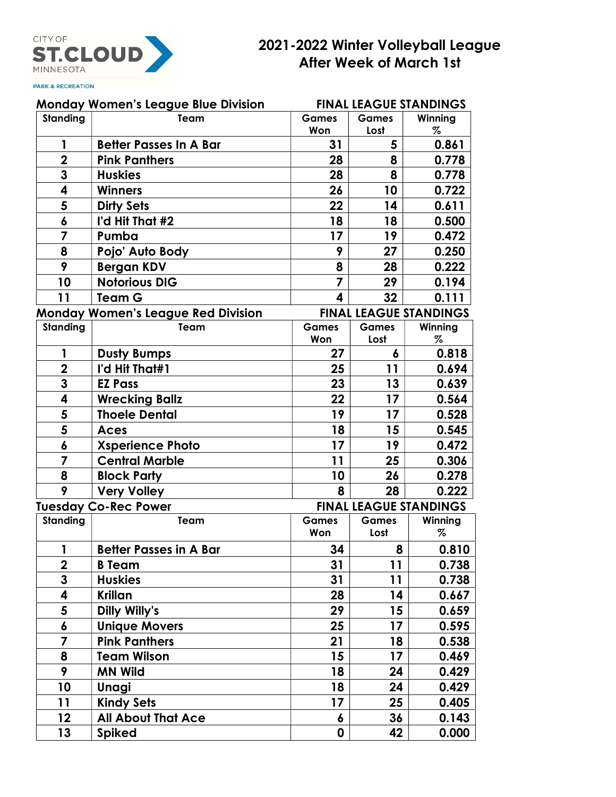

## 2021-2022 Winter Volleyball League After Week of March 1st

**PARK & RECREATION** 

| <b>Monday Women's League Blue Division</b> |                                                                            | <b>FINAL LEAGUE STANDINGS</b> |                               |              |  |
|--------------------------------------------|----------------------------------------------------------------------------|-------------------------------|-------------------------------|--------------|--|
| <b>Standing</b>                            | Team                                                                       | <b>Games</b>                  | <b>Games</b>                  | Winning      |  |
|                                            |                                                                            | Won                           | Lost                          | $\%$         |  |
| 1                                          | <b>Better Passes In A Bar</b>                                              | 31                            | 5                             | 0.861        |  |
| $\overline{2}$                             | <b>Pink Panthers</b>                                                       | 28                            | 8                             | 0.778        |  |
| 3                                          | <b>Huskies</b>                                                             | 28                            | 8                             | 0.778        |  |
| 4                                          | <b>Winners</b>                                                             | 26                            | 10                            | 0.722        |  |
| 5                                          | <b>Dirty Sets</b>                                                          | 22                            | 14                            | 0.611        |  |
| 6                                          | I'd Hit That #2                                                            | 18                            | 18                            | 0.500        |  |
| 7                                          | Pumba                                                                      | 17                            | 19                            | 0.472        |  |
| 8                                          | Pojo' Auto Body                                                            | 9                             | 27                            | 0.250        |  |
| 9                                          | <b>Bergan KDV</b>                                                          | 8                             | 28                            | 0.222        |  |
| 10                                         | <b>Notorious DIG</b>                                                       | $\overline{z}$                | 29                            | 0.194        |  |
| 11                                         | <b>Team G</b>                                                              | $\overline{\mathbf{4}}$       | 32                            | 0.111        |  |
|                                            | <b>FINAL LEAGUE STANDINGS</b><br><b>Monday Women's League Red Division</b> |                               |                               |              |  |
| <b>Standing</b>                            | Team                                                                       | <b>Games</b><br>Won           | <b>Games</b><br>Lost          | Winning<br>% |  |
| 1                                          | <b>Dusty Bumps</b>                                                         | 27                            | 6                             | 0.818        |  |
| $\overline{\mathbf{2}}$                    | I'd Hit That#1                                                             | 25                            | 11                            | 0.694        |  |
| 3                                          | <b>EZ Pass</b>                                                             | 23                            | 13                            | 0.639        |  |
| 4                                          | <b>Wrecking Ballz</b>                                                      | 22                            | 17                            | 0.564        |  |
| 5                                          | <b>Thoele Dental</b>                                                       | 19                            | 17                            | 0.528        |  |
| 5                                          | Aces                                                                       | 18                            | 15                            | 0.545        |  |
| 6                                          | <b>Xsperience Photo</b>                                                    | 17                            | 19                            | 0.472        |  |
| $\overline{\mathbf{z}}$                    | <b>Central Marble</b>                                                      | 11                            | 25                            | 0.306        |  |
| 8                                          | <b>Block Party</b>                                                         | 10                            | 26                            | 0.278        |  |
| 9                                          | <b>Very Volley</b>                                                         | 8                             | 28                            | 0.222        |  |
| <b>Tuesday Co-Rec Power</b>                |                                                                            |                               | <b>FINAL LEAGUE STANDINGS</b> |              |  |
| <b>Standing</b>                            | Team                                                                       | <b>Games</b>                  | <b>Games</b>                  | Winning      |  |
|                                            |                                                                            | Won                           | Lost                          | %            |  |
| 1                                          | <b>Better Passes in A Bar</b>                                              | 34                            | 8                             | 0.810        |  |
| $\overline{2}$                             | <b>B</b> Team                                                              | 31                            | 11                            | 0.738        |  |
| 3                                          | <b>Huskies</b>                                                             | 31                            | 11                            | 0.738        |  |
| 4                                          | <b>Krillan</b>                                                             | 28                            | 14                            | 0.667        |  |
| 5                                          | Dilly Willy's                                                              | 29                            | 15                            | 0.659        |  |
| 6                                          | <b>Unique Movers</b>                                                       | 25                            | 17                            | 0.595        |  |
| 7                                          | <b>Pink Panthers</b>                                                       | 21                            | 18                            | 0.538        |  |
| 8                                          | <b>Team Wilson</b>                                                         | 15                            | 17                            | 0.469        |  |
| 9                                          | <b>MN Wild</b>                                                             | 18                            | 24                            | 0.429        |  |
| 10                                         | <b>Unagi</b>                                                               | 18                            | 24                            | 0.429        |  |
| 11                                         | <b>Kindy Sets</b>                                                          | 17                            | 25                            | 0.405        |  |
| 12                                         | <b>All About That Ace</b>                                                  | 6                             | 36                            | 0.143        |  |
| 13                                         | <b>Spiked</b>                                                              | 0                             | 42                            | 0.000        |  |